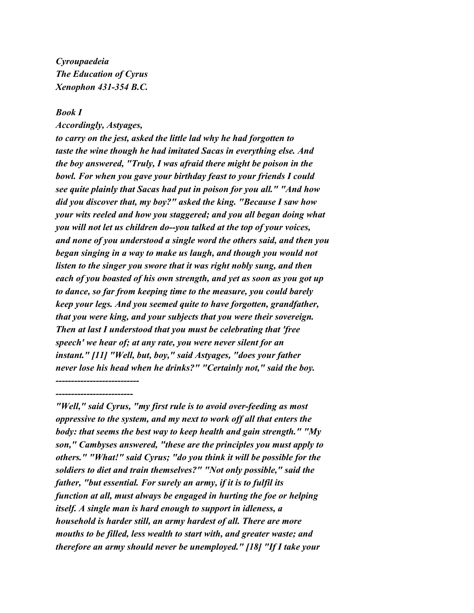*Cyroupaedeia The Education of Cyrus Xenophon 431-354 B.C.*

## *Book I*

*Accordingly, Astyages,*

*--------------------------- -------------------------*

*to carry on the jest, asked the little lad why he had forgotten to taste the wine though he had imitated Sacas in everything else. And the boy answered, "Truly, I was afraid there might be poison in the bowl. For when you gave your birthday feast to your friends I could see quite plainly that Sacas had put in poison for you all." "And how did you discover that, my boy?" asked the king. "Because I saw how your wits reeled and how you staggered; and you all began doing what you will not let us children do--you talked at the top of your voices, and none of you understood a single word the others said, and then you began singing in a way to make us laugh, and though you would not listen to the singer you swore that it was right nobly sung, and then each of you boasted of his own strength, and yet as soon as you got up to dance, so far from keeping time to the measure, you could barely keep your legs. And you seemed quite to have forgotten, grandfather, that you were king, and your subjects that you were their sovereign. Then at last I understood that you must be celebrating that 'free speech' we hear of; at any rate, you were never silent for an instant." [11] "Well, but, boy," said Astyages, "does your father never lose his head when he drinks?" "Certainly not," said the boy.*

*"Well," said Cyrus, "my first rule is to avoid over-feeding as most oppressive to the system, and my next to work off all that enters the body: that seems the best way to keep health and gain strength." "My son," Cambyses answered, "these are the principles you must apply to others." "What!" said Cyrus; "do you think it will be possible for the soldiers to diet and train themselves?" "Not only possible," said the father, "but essential. For surely an army, if it is to fulfil its function at all, must always be engaged in hurting the foe or helping itself. A single man is hard enough to support in idleness, a household is harder still, an army hardest of all. There are more mouths to be filled, less wealth to start with, and greater waste; and therefore an army should never be unemployed." [18] "If I take your*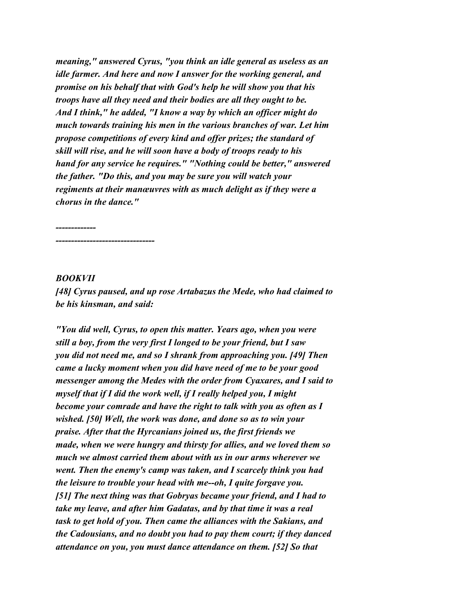*meaning," answered Cyrus, "you think an idle general as useless as an idle farmer. And here and now I answer for the working general, and promise on his behalf that with God's help he will show you that his troops have all they need and their bodies are all they ought to be. And I think," he added, "I know a way by which an officer might do much towards training his men in the various branches of war. Let him propose competitions of every kind and offer prizes; the standard of skill will rise, and he will soon have a body of troops ready to his hand for any service he requires." "Nothing could be better," answered the father. "Do this, and you may be sure you will watch your regiments at their manœuvres with as much delight as if they were a chorus in the dance."*

*------------- --------------------------------*

## *BOOKVII*

*[48] Cyrus paused, and up rose Artabazus the Mede, who had claimed to be his kinsman, and said:*

*"You did well, Cyrus, to open this matter. Years ago, when you were still a boy, from the very first I longed to be your friend, but I saw you did not need me, and so I shrank from approaching you. [49] Then came a lucky moment when you did have need of me to be your good messenger among the Medes with the order from Cyaxares, and I said to myself that if I did the work well, if I really helped you, I might become your comrade and have the right to talk with you as often as I wished. [50] Well, the work was done, and done so as to win your praise. After that the Hyrcanians joined us, the first friends we made, when we were hungry and thirsty for allies, and we loved them so much we almost carried them about with us in our arms wherever we went. Then the enemy's camp was taken, and I scarcely think you had the leisure to trouble your head with me--oh, I quite forgave you. [51] The next thing was that Gobryas became your friend, and I had to take my leave, and after him Gadatas, and by that time it was a real task to get hold of you. Then came the alliances with the Sakians, and the Cadousians, and no doubt you had to pay them court; if they danced attendance on you, you must dance attendance on them. [52] So that*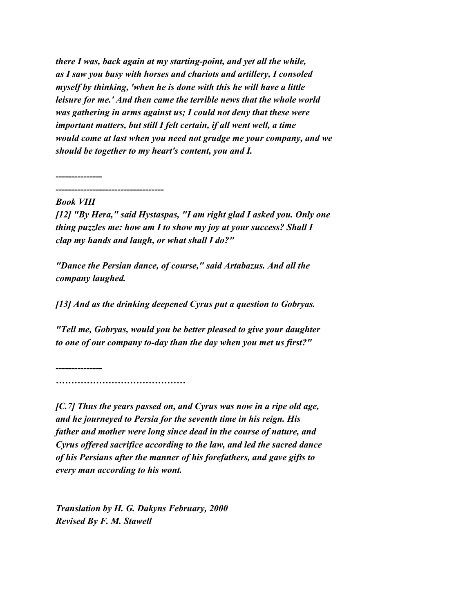*there I was, back again at my starting-point, and yet all the while, as I saw you busy with horses and chariots and artillery, I consoled myself by thinking, 'when he is done with this he will have a little leisure for me.' And then came the terrible news that the whole world was gathering in arms against us; I could not deny that these were important matters, but still I felt certain, if all went well, a time would come at last when you need not grudge me your company, and we should be together to my heart's content, you and I.*

*---------------*

*-----------------------------------*

## *Book VIII*

*[12] "By Hera," said Hystaspas, "I am right glad I asked you. Only one thing puzzles me: how am I to show my joy at your success? Shall I clap my hands and laugh, or what shall I do?"*

*"Dance the Persian dance, of course," said Artabazus. And all the company laughed.*

*[13] And as the drinking deepened Cyrus put a question to Gobryas.*

*"Tell me, Gobryas, would you be better pleased to give your daughter to one of our company to-day than the day when you met us first?"*

*--------------- ……………………………………*

*[C.7] Thus the years passed on, and Cyrus was now in a ripe old age, and he journeyed to Persia for the seventh time in his reign. His father and mother were long since dead in the course of nature, and Cyrus offered sacrifice according to the law, and led the sacred dance of his Persians after the manner of his forefathers, and gave gifts to every man according to his wont.*

*Translation by H. G. Dakyns February, 2000 Revised By F. M. Stawell*